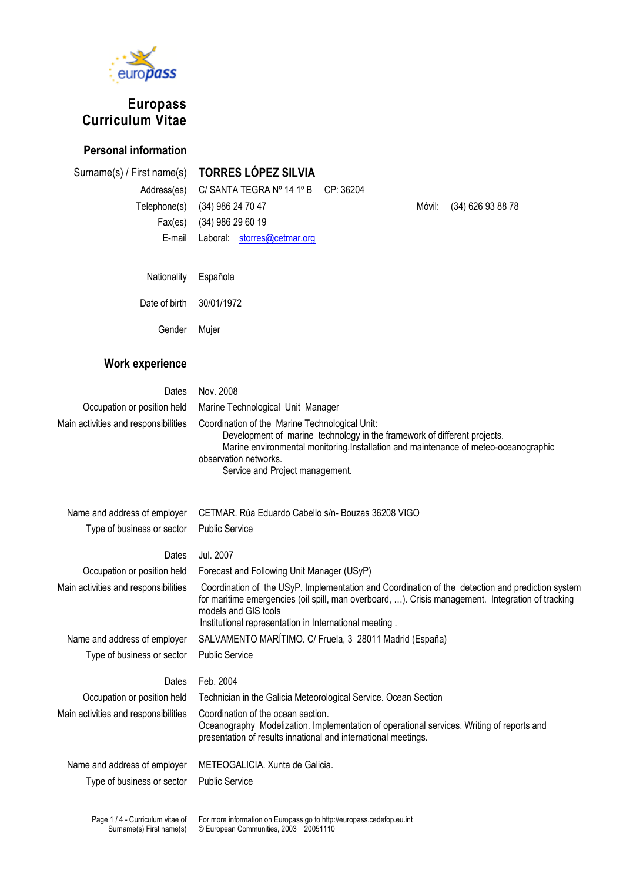

## **Europass Curriculum Vitae**

**Personal information** 

## Surname(s) / First name(s) **TORRES LÓPEZ SILVIA**

Address(es) C/ SANTA TEGRA Nº 14 1º B CP: 36204 Telephone(s) | (34) 986 24 70 47 Móvil: (34) 626 93 88 78 Fax(es) (34) 986 29 60 19 E-mail Laboral: storres@cetmar.org

Nationality | Española Date of birth | 30/01/1972

Gender | Mujer

## **Work experience**

| Dates                                | Nov. 2008                                                                                                                                                                                                                                                                               |
|--------------------------------------|-----------------------------------------------------------------------------------------------------------------------------------------------------------------------------------------------------------------------------------------------------------------------------------------|
| Occupation or position held          | Marine Technological Unit Manager                                                                                                                                                                                                                                                       |
| Main activities and responsibilities | Coordination of the Marine Technological Unit:<br>Development of marine technology in the framework of different projects.<br>Marine environmental monitoring.Installation and maintenance of meteo-oceanographic<br>observation networks.<br>Service and Project management.           |
| Name and address of employer         | CETMAR. Rúa Eduardo Cabello s/n-Bouzas 36208 VIGO                                                                                                                                                                                                                                       |
| Type of business or sector           | <b>Public Service</b>                                                                                                                                                                                                                                                                   |
| Dates                                | Jul. 2007                                                                                                                                                                                                                                                                               |
| Occupation or position held          | Forecast and Following Unit Manager (USyP)                                                                                                                                                                                                                                              |
| Main activities and responsibilities | Coordination of the USyP. Implementation and Coordination of the detection and prediction system<br>for maritime emergencies (oil spill, man overboard, ). Crisis management. Integration of tracking<br>models and GIS tools<br>Institutional representation in International meeting. |
| Name and address of employer         | SALVAMENTO MARÍTIMO. C/ Fruela, 3 28011 Madrid (España)                                                                                                                                                                                                                                 |
| Type of business or sector           | <b>Public Service</b>                                                                                                                                                                                                                                                                   |
| Dates                                | Feb. 2004                                                                                                                                                                                                                                                                               |
| Occupation or position held          | Technician in the Galicia Meteorological Service. Ocean Section                                                                                                                                                                                                                         |
| Main activities and responsibilities | Coordination of the ocean section.<br>Oceanography Modelization. Implementation of operational services. Writing of reports and<br>presentation of results innational and international meetings.                                                                                       |
| Name and address of employer         | METEOGALICIA. Xunta de Galicia.                                                                                                                                                                                                                                                         |
| Type of business or sector           | <b>Public Service</b>                                                                                                                                                                                                                                                                   |
|                                      |                                                                                                                                                                                                                                                                                         |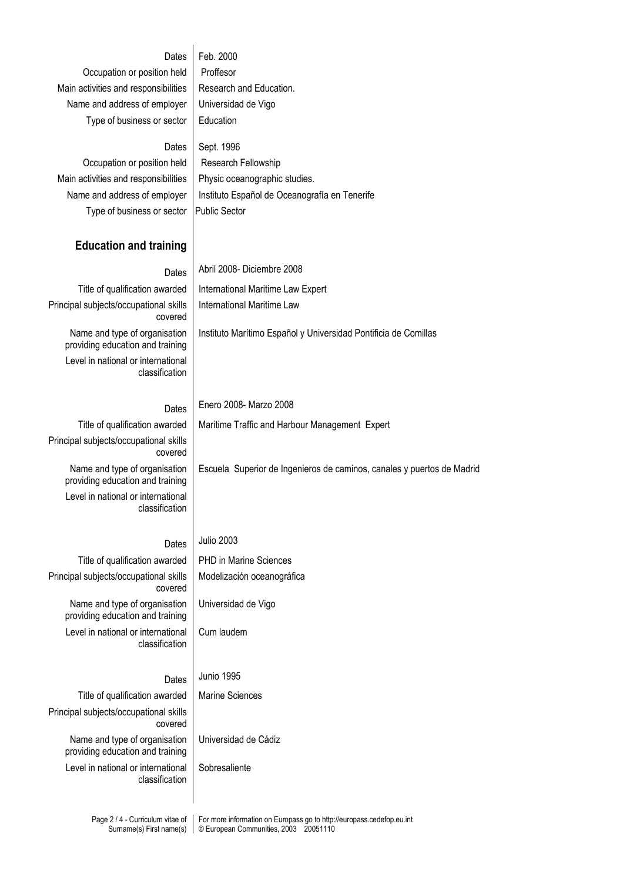| Dates<br>Occupation or position held<br>Main activities and responsibilities<br>Name and address of employer<br>Type of business or sector<br>Dates<br>Occupation or position held<br>Main activities and responsibilities<br>Name and address of employer<br>Type of business or sector | Feb. 2000<br>Proffesor<br>Research and Education.<br>Universidad de Vigo<br>Education<br>Sept. 1996<br>Research Fellowship<br>Physic oceanographic studies.<br>Instituto Español de Oceanografía en Tenerife<br><b>Public Sector</b> |  |  |  |  |  |
|------------------------------------------------------------------------------------------------------------------------------------------------------------------------------------------------------------------------------------------------------------------------------------------|--------------------------------------------------------------------------------------------------------------------------------------------------------------------------------------------------------------------------------------|--|--|--|--|--|
| <b>Education and training</b>                                                                                                                                                                                                                                                            |                                                                                                                                                                                                                                      |  |  |  |  |  |
| Dates                                                                                                                                                                                                                                                                                    | Abril 2008- Diciembre 2008                                                                                                                                                                                                           |  |  |  |  |  |
| Title of qualification awarded                                                                                                                                                                                                                                                           | International Maritime Law Expert                                                                                                                                                                                                    |  |  |  |  |  |
| Principal subjects/occupational skills<br>covered                                                                                                                                                                                                                                        | International Maritime Law                                                                                                                                                                                                           |  |  |  |  |  |
| Name and type of organisation<br>providing education and training                                                                                                                                                                                                                        | Instituto Marítimo Español y Universidad Pontificia de Comillas                                                                                                                                                                      |  |  |  |  |  |
| Level in national or international<br>classification                                                                                                                                                                                                                                     |                                                                                                                                                                                                                                      |  |  |  |  |  |
| Dates                                                                                                                                                                                                                                                                                    | Enero 2008- Marzo 2008                                                                                                                                                                                                               |  |  |  |  |  |
| Title of qualification awarded                                                                                                                                                                                                                                                           | Maritime Traffic and Harbour Management Expert                                                                                                                                                                                       |  |  |  |  |  |
| Principal subjects/occupational skills<br>covered                                                                                                                                                                                                                                        |                                                                                                                                                                                                                                      |  |  |  |  |  |
| Name and type of organisation<br>providing education and training                                                                                                                                                                                                                        | Escuela Superior de Ingenieros de caminos, canales y puertos de Madrid                                                                                                                                                               |  |  |  |  |  |
| Level in national or international<br>classification                                                                                                                                                                                                                                     |                                                                                                                                                                                                                                      |  |  |  |  |  |
| Dates                                                                                                                                                                                                                                                                                    | <b>Julio 2003</b>                                                                                                                                                                                                                    |  |  |  |  |  |
| Title of qualification awarded                                                                                                                                                                                                                                                           | <b>PHD in Marine Sciences</b>                                                                                                                                                                                                        |  |  |  |  |  |
| Principal subjects/occupational skills<br>covered                                                                                                                                                                                                                                        | Modelización oceanográfica                                                                                                                                                                                                           |  |  |  |  |  |
| Name and type of organisation<br>providing education and training                                                                                                                                                                                                                        | Universidad de Vigo                                                                                                                                                                                                                  |  |  |  |  |  |
| Level in national or international<br>classification                                                                                                                                                                                                                                     | Cum laudem                                                                                                                                                                                                                           |  |  |  |  |  |
| Dates                                                                                                                                                                                                                                                                                    | Junio 1995                                                                                                                                                                                                                           |  |  |  |  |  |
| Title of qualification awarded                                                                                                                                                                                                                                                           | <b>Marine Sciences</b>                                                                                                                                                                                                               |  |  |  |  |  |
| Principal subjects/occupational skills<br>covered                                                                                                                                                                                                                                        |                                                                                                                                                                                                                                      |  |  |  |  |  |
| Name and type of organisation<br>providing education and training                                                                                                                                                                                                                        | Universidad de Cádiz                                                                                                                                                                                                                 |  |  |  |  |  |
| Level in national or international<br>classification                                                                                                                                                                                                                                     | Sobresaliente                                                                                                                                                                                                                        |  |  |  |  |  |
|                                                                                                                                                                                                                                                                                          |                                                                                                                                                                                                                                      |  |  |  |  |  |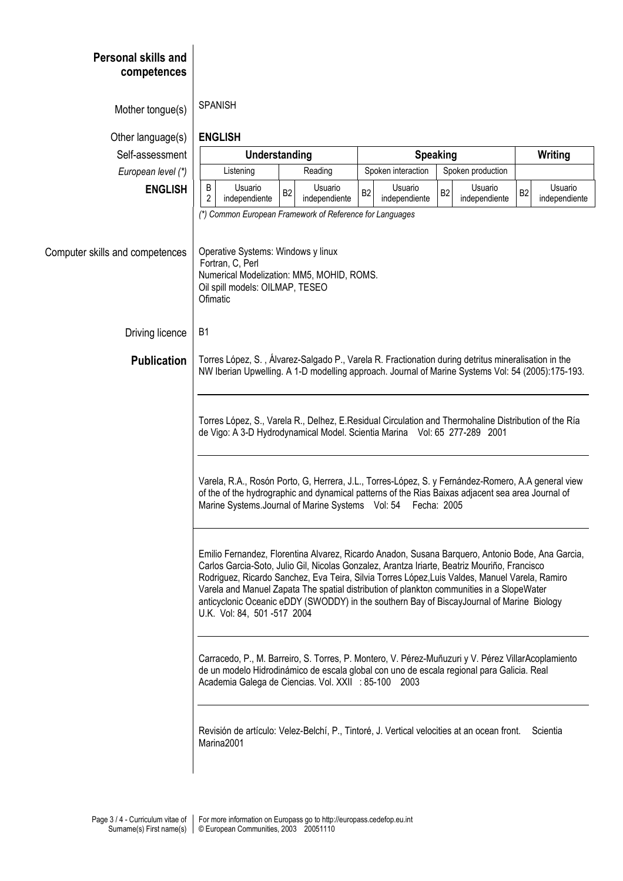| <b>Personal skills and</b><br>competences |                                                                                                                                                                                                                                                                                                                                                                                                                                                                                                                                                                                                                                                                                                                                                                                                                                                                                                                                                                                                                                                                      |                |                          |                    |                          |                   |                          |                |                          |  |  |  |
|-------------------------------------------|----------------------------------------------------------------------------------------------------------------------------------------------------------------------------------------------------------------------------------------------------------------------------------------------------------------------------------------------------------------------------------------------------------------------------------------------------------------------------------------------------------------------------------------------------------------------------------------------------------------------------------------------------------------------------------------------------------------------------------------------------------------------------------------------------------------------------------------------------------------------------------------------------------------------------------------------------------------------------------------------------------------------------------------------------------------------|----------------|--------------------------|--------------------|--------------------------|-------------------|--------------------------|----------------|--------------------------|--|--|--|
| Mother tongue(s)                          | <b>SPANISH</b>                                                                                                                                                                                                                                                                                                                                                                                                                                                                                                                                                                                                                                                                                                                                                                                                                                                                                                                                                                                                                                                       |                |                          |                    |                          |                   |                          |                |                          |  |  |  |
| Other language(s)                         | <b>ENGLISH</b>                                                                                                                                                                                                                                                                                                                                                                                                                                                                                                                                                                                                                                                                                                                                                                                                                                                                                                                                                                                                                                                       |                |                          |                    |                          |                   |                          |                |                          |  |  |  |
| Self-assessment                           |                                                                                                                                                                                                                                                                                                                                                                                                                                                                                                                                                                                                                                                                                                                                                                                                                                                                                                                                                                                                                                                                      | Understanding  |                          |                    | <b>Speaking</b>          |                   |                          |                | Writing                  |  |  |  |
| European level (*)                        | Listening                                                                                                                                                                                                                                                                                                                                                                                                                                                                                                                                                                                                                                                                                                                                                                                                                                                                                                                                                                                                                                                            |                | Reading                  | Spoken interaction |                          | Spoken production |                          |                |                          |  |  |  |
| <b>ENGLISH</b>                            | B<br>Usuario<br>2<br>independiente                                                                                                                                                                                                                                                                                                                                                                                                                                                                                                                                                                                                                                                                                                                                                                                                                                                                                                                                                                                                                                   | B <sub>2</sub> | Usuario<br>independiente | B <sub>2</sub>     | Usuario<br>independiente | B <sub>2</sub>    | Usuario<br>independiente | B <sub>2</sub> | Usuario<br>independiente |  |  |  |
|                                           | (*) Common European Framework of Reference for Languages                                                                                                                                                                                                                                                                                                                                                                                                                                                                                                                                                                                                                                                                                                                                                                                                                                                                                                                                                                                                             |                |                          |                    |                          |                   |                          |                |                          |  |  |  |
| Computer skills and competences           | Operative Systems: Windows y linux<br>Fortran, C, Perl<br>Numerical Modelization: MM5, MOHID, ROMS.<br>Oil spill models: OILMAP, TESEO<br>Ofimatic                                                                                                                                                                                                                                                                                                                                                                                                                                                                                                                                                                                                                                                                                                                                                                                                                                                                                                                   |                |                          |                    |                          |                   |                          |                |                          |  |  |  |
| Driving licence                           | B <sub>1</sub>                                                                                                                                                                                                                                                                                                                                                                                                                                                                                                                                                                                                                                                                                                                                                                                                                                                                                                                                                                                                                                                       |                |                          |                    |                          |                   |                          |                |                          |  |  |  |
| <b>Publication</b>                        | Torres López, S., Álvarez-Salgado P., Varela R. Fractionation during detritus mineralisation in the<br>NW Iberian Upwelling. A 1-D modelling approach. Journal of Marine Systems Vol: 54 (2005):175-193.                                                                                                                                                                                                                                                                                                                                                                                                                                                                                                                                                                                                                                                                                                                                                                                                                                                             |                |                          |                    |                          |                   |                          |                |                          |  |  |  |
|                                           | Torres López, S., Varela R., Delhez, E.Residual Circulation and Thermohaline Distribution of the Ría<br>de Vigo: A 3-D Hydrodynamical Model. Scientia Marina Vol: 65 277-289 2001                                                                                                                                                                                                                                                                                                                                                                                                                                                                                                                                                                                                                                                                                                                                                                                                                                                                                    |                |                          |                    |                          |                   |                          |                |                          |  |  |  |
|                                           | Varela, R.A., Rosón Porto, G, Herrera, J.L., Torres-López, S. y Fernández-Romero, A.A general view<br>of the of the hydrographic and dynamical patterns of the Rias Baixas adjacent sea area Journal of<br>Marine Systems. Journal of Marine Systems Vol: 54<br>Fecha: 2005<br>Emilio Fernandez, Florentina Alvarez, Ricardo Anadon, Susana Barquero, Antonio Bode, Ana Garcia,<br>Carlos Garcia-Soto, Julio Gil, Nicolas Gonzalez, Arantza Iriarte, Beatriz Mouriño, Francisco<br>Rodriguez, Ricardo Sanchez, Eva Teira, Silvia Torres López, Luis Valdes, Manuel Varela, Ramiro<br>Varela and Manuel Zapata The spatial distribution of plankton communities in a SlopeWater<br>anticyclonic Oceanic eDDY (SWODDY) in the southern Bay of BiscayJournal of Marine Biology<br>U.K. Vol: 84, 501-517 2004<br>Carracedo, P., M. Barreiro, S. Torres, P. Montero, V. Pérez-Muñuzuri y V. Pérez VillarAcoplamiento<br>de un modelo Hidrodinámico de escala global con uno de escala regional para Galicia. Real<br>Academia Galega de Ciencias. Vol. XXII : 85-100 2003 |                |                          |                    |                          |                   |                          |                |                          |  |  |  |
|                                           |                                                                                                                                                                                                                                                                                                                                                                                                                                                                                                                                                                                                                                                                                                                                                                                                                                                                                                                                                                                                                                                                      |                |                          |                    |                          |                   |                          |                |                          |  |  |  |
|                                           |                                                                                                                                                                                                                                                                                                                                                                                                                                                                                                                                                                                                                                                                                                                                                                                                                                                                                                                                                                                                                                                                      |                |                          |                    |                          |                   |                          |                |                          |  |  |  |
|                                           | Revisión de artículo: Velez-Belchí, P., Tintoré, J. Vertical velocities at an ocean front.<br>Scientia<br>Marina2001                                                                                                                                                                                                                                                                                                                                                                                                                                                                                                                                                                                                                                                                                                                                                                                                                                                                                                                                                 |                |                          |                    |                          |                   |                          |                |                          |  |  |  |